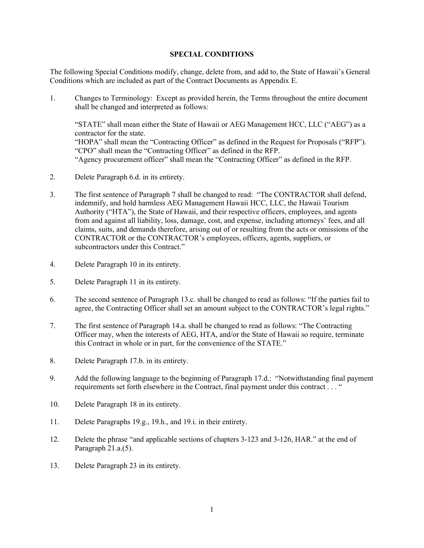## SPECIAL CONDITIONS

The following Special Conditions modify, change, delete from, and add to, the State of Hawaii's General Conditions which are included as part of the Contract Documents as Appendix E.

1. Changes to Terminology: Except as provided herein, the Terms throughout the entire document shall be changed and interpreted as follows:

"STATE" shall mean either the State of Hawaii or AEG Management HCC, LLC ("AEG") as a contractor for the state. "HOPA" shall mean the "Contracting Officer" as defined in the Request for Proposals ("RFP"). "CPO" shall mean the "Contracting Officer" as defined in the RFP. "Agency procurement officer" shall mean the "Contracting Officer" as defined in the RFP.

- 2. Delete Paragraph 6.d. in its entirety.
- 3. The first sentence of Paragraph 7 shall be changed to read: "The CONTRACTOR shall defend, indemnify, and hold harmless AEG Management Hawaii HCC, LLC, the Hawaii Tourism Authority ("HTA"), the State of Hawaii, and their respective officers, employees, and agents from and against all liability, loss, damage, cost, and expense, including attorneys' fees, and all claims, suits, and demands therefore, arising out of or resulting from the acts or omissions of the CONTRACTOR or the CONTRACTOR's employees, officers, agents, suppliers, or subcontractors under this Contract."
- 4. Delete Paragraph 10 in its entirety.
- 5. Delete Paragraph 11 in its entirety.
- 6. The second sentence of Paragraph 13.c. shall be changed to read as follows: "If the parties fail to agree, the Contracting Officer shall set an amount subject to the CONTRACTOR's legal rights."
- 7. The first sentence of Paragraph 14.a. shall be changed to read as follows: "The Contracting Officer may, when the interests of AEG, HTA, and/or the State of Hawaii so require, terminate this Contract in whole or in part, for the convenience of the STATE."
- 8. Delete Paragraph 17.b. in its entirety.
- 9. Add the following language to the beginning of Paragraph 17.d.: "Notwithstanding final payment requirements set forth elsewhere in the Contract, final payment under this contract . . . "
- 10. Delete Paragraph 18 in its entirety.
- 11. Delete Paragraphs 19.g., 19.h., and 19.i. in their entirety.
- 12. Delete the phrase "and applicable sections of chapters 3-123 and 3-126, HAR." at the end of Paragraph 21.a.(5).
- 13. Delete Paragraph 23 in its entirety.